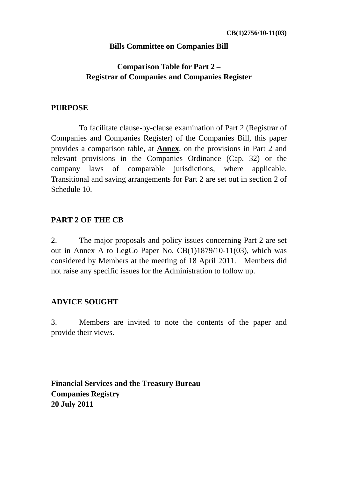### **Bills Committee on Companies Bill**

# **Comparison Table for Part 2 – Registrar of Companies and Companies Register**

#### **PURPOSE**

 To facilitate clause-by-clause examination of Part 2 (Registrar of Companies and Companies Register) of the Companies Bill, this paper provides a comparison table, at **Annex**, on the provisions in Part 2 and relevant provisions in the Companies Ordinance (Cap. 32) or the company laws of comparable jurisdictions, where applicable. Transitional and saving arrangements for Part 2 are set out in section 2 of Schedule 10.

## **PART 2 OF THE CB**

2. The major proposals and policy issues concerning Part 2 are set out in Annex A to LegCo Paper No. CB(1)1879/10-11(03), which was considered by Members at the meeting of 18 April 2011. Members did not raise any specific issues for the Administration to follow up.

### **ADVICE SOUGHT**

3. Members are invited to note the contents of the paper and provide their views.

**Financial Services and the Treasury Bureau Companies Registry 20 July 2011**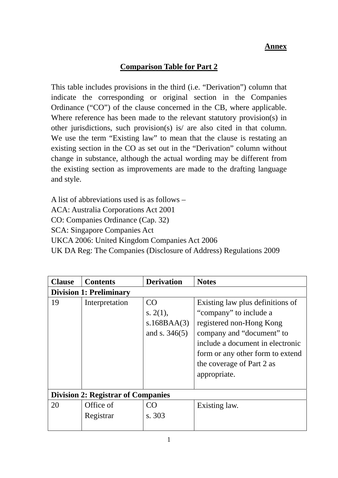#### **Annex**

# **Comparison Table for Part 2**

This table includes provisions in the third (i.e. "Derivation") column that indicate the corresponding or original section in the Companies Ordinance ("CO") of the clause concerned in the CB, where applicable. Where reference has been made to the relevant statutory provision(s) in other jurisdictions, such provision(s) is/ are also cited in that column. We use the term "Existing law" to mean that the clause is restating an existing section in the CO as set out in the "Derivation" column without change in substance, although the actual wording may be different from the existing section as improvements are made to the drafting language and style.

A list of abbreviations used is as follows – ACA: Australia Corporations Act 2001 CO: Companies Ordinance (Cap. 32) SCA: Singapore Companies Act UKCA 2006: United Kingdom Companies Act 2006 UK DA Reg: The Companies (Disclosure of Address) Regulations 2009

| <b>Clause</b> | <b>Contents</b>                           | <b>Derivation</b>                                   | <b>Notes</b>                                                                                                                                                                                                                             |  |  |
|---------------|-------------------------------------------|-----------------------------------------------------|------------------------------------------------------------------------------------------------------------------------------------------------------------------------------------------------------------------------------------------|--|--|
|               | <b>Division 1: Preliminary</b>            |                                                     |                                                                                                                                                                                                                                          |  |  |
| 19            | Interpretation                            | CO<br>s. $2(1)$ ,<br>s.168BAA(3)<br>and s. $346(5)$ | Existing law plus definitions of<br>"company" to include a<br>registered non-Hong Kong<br>company and "document" to<br>include a document in electronic<br>form or any other form to extend<br>the coverage of Part 2 as<br>appropriate. |  |  |
|               | <b>Division 2: Registrar of Companies</b> |                                                     |                                                                                                                                                                                                                                          |  |  |
| 20            | Office of<br>Registrar                    | CO<br>s. 303                                        | Existing law.                                                                                                                                                                                                                            |  |  |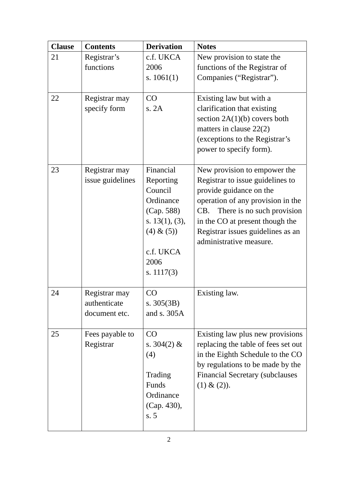| <b>Clause</b> | <b>Contents</b>                                | <b>Derivation</b>                                                                                                                      | <b>Notes</b>                                                                                                                                                                                                                                                             |
|---------------|------------------------------------------------|----------------------------------------------------------------------------------------------------------------------------------------|--------------------------------------------------------------------------------------------------------------------------------------------------------------------------------------------------------------------------------------------------------------------------|
| 21            | Registrar's<br>functions                       | c.f. UKCA<br>2006<br>s. $1061(1)$                                                                                                      | New provision to state the<br>functions of the Registrar of<br>Companies ("Registrar").                                                                                                                                                                                  |
| 22            | Registrar may<br>specify form                  | CO<br>s. 2A                                                                                                                            | Existing law but with a<br>clarification that existing<br>section $2A(1)(b)$ covers both<br>matters in clause $22(2)$<br>(exceptions to the Registrar's<br>power to specify form).                                                                                       |
| 23            | Registrar may<br>issue guidelines              | Financial<br>Reporting<br>Council<br>Ordinance<br>(Cap. 588)<br>s. $13(1)$ , $(3)$ ,<br>(4) & (5)<br>c.f. UKCA<br>2006<br>s. $1117(3)$ | New provision to empower the<br>Registrar to issue guidelines to<br>provide guidance on the<br>operation of any provision in the<br>There is no such provision<br>CB.<br>in the CO at present though the<br>Registrar issues guidelines as an<br>administrative measure. |
| 24            | Registrar may<br>authenticate<br>document etc. | <b>CO</b><br>s. $305(3B)$<br>and s. 305A                                                                                               | Existing law.                                                                                                                                                                                                                                                            |
| 25            | Fees payable to<br>Registrar                   | CO<br>s. $304(2)$ &<br>(4)<br>Trading<br>Funds<br>Ordinance<br>(Cap. 430),<br>s.5                                                      | Existing law plus new provisions<br>replacing the table of fees set out<br>in the Eighth Schedule to the CO<br>by regulations to be made by the<br><b>Financial Secretary (subclauses)</b><br>$(1) & (2)$ .                                                              |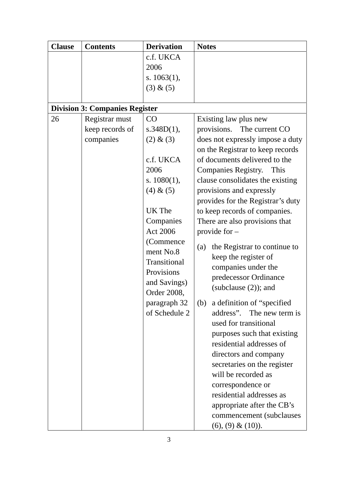| c.f. UKCA<br>2006<br>s. $1063(1)$ ,<br>(3) & (5)<br><b>Division 3: Companies Register</b><br>Registrar must<br>26<br>CO<br>Existing law plus new<br>keep records of<br>s.348D(1),<br>provisions. The current CO<br>companies<br>(2) & (3)<br>c.f. UKCA<br>of documents delivered to the<br>2006<br><b>Companies Registry.</b><br>This<br>s. $1080(1)$ ,                                                                                                                                                                                                                                                                  | <b>Clause</b> | <b>Contents</b> | <b>Derivation</b> | <b>Notes</b>                                                                                                                                                                                                                                                                                      |
|--------------------------------------------------------------------------------------------------------------------------------------------------------------------------------------------------------------------------------------------------------------------------------------------------------------------------------------------------------------------------------------------------------------------------------------------------------------------------------------------------------------------------------------------------------------------------------------------------------------------------|---------------|-----------------|-------------------|---------------------------------------------------------------------------------------------------------------------------------------------------------------------------------------------------------------------------------------------------------------------------------------------------|
|                                                                                                                                                                                                                                                                                                                                                                                                                                                                                                                                                                                                                          |               |                 |                   |                                                                                                                                                                                                                                                                                                   |
| UK The<br>to keep records of companies.<br>There are also provisions that<br>Companies<br><b>Act 2006</b><br>provide for $-$<br>(Commence)<br>(a)<br>ment No.8<br>keep the register of<br>Transitional<br>companies under the<br>Provisions<br>predecessor Ordinance<br>and Savings)<br>(subclause $(2)$ ); and<br>Order 2008,<br>paragraph 32<br>a definition of "specified"<br>(b)<br>of Schedule 2<br>used for transitional<br>residential addresses of<br>directors and company<br>secretaries on the register<br>will be recorded as<br>correspondence or<br>residential addresses as<br>appropriate after the CB's |               |                 | (4) & (5)         | does not expressly impose a duty<br>on the Registrar to keep records<br>clause consolidates the existing<br>provisions and expressly<br>provides for the Registrar's duty<br>the Registrar to continue to<br>address". The new term is<br>purposes such that existing<br>commencement (subclauses |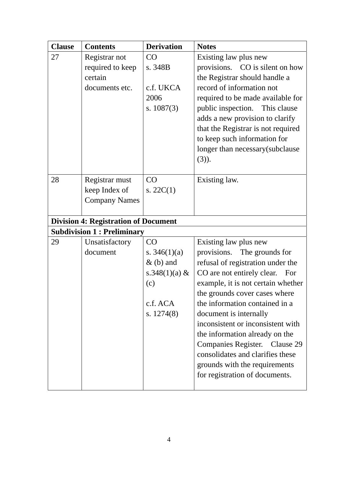| <b>Clause</b> | <b>Contents</b>                             | <b>Derivation</b> | <b>Notes</b>                       |
|---------------|---------------------------------------------|-------------------|------------------------------------|
| 27            | Registrar not                               | CO                | Existing law plus new              |
|               | required to keep                            | s. 348B           | provisions. CO is silent on how    |
|               | certain                                     |                   | the Registrar should handle a      |
|               | documents etc.                              | c.f. UKCA         | record of information not          |
|               |                                             | 2006              | required to be made available for  |
|               |                                             | s. $1087(3)$      | public inspection. This clause     |
|               |                                             |                   | adds a new provision to clarify    |
|               |                                             |                   | that the Registrar is not required |
|               |                                             |                   | to keep such information for       |
|               |                                             |                   | longer than necessary(subclause    |
|               |                                             |                   | $(3)$ ).                           |
| 28            |                                             | CO                |                                    |
|               | Registrar must<br>keep Index of             | s. $22C(1)$       | Existing law.                      |
|               | <b>Company Names</b>                        |                   |                                    |
|               |                                             |                   |                                    |
|               | <b>Division 4: Registration of Document</b> |                   |                                    |
|               | <b>Subdivision 1: Preliminary</b>           |                   |                                    |
| 29            | Unsatisfactory                              | CO                | Existing law plus new              |
|               | document                                    | s. $346(1)(a)$    | provisions. The grounds for        |
|               |                                             | $&$ (b) and       | refusal of registration under the  |
|               |                                             | s.348 $(1)(a)$ &  | CO are not entirely clear.<br>For  |
|               |                                             | (c)               | example, it is not certain whether |
|               |                                             |                   | the grounds cover cases where      |
|               |                                             | c.f. ACA          | the information contained in a     |
|               |                                             | s. $1274(8)$      | document is internally             |
|               |                                             |                   | inconsistent or inconsistent with  |
|               |                                             |                   | the information already on the     |
|               |                                             |                   | Companies Register. Clause 29      |
|               |                                             |                   | consolidates and clarifies these   |
|               |                                             |                   | grounds with the requirements      |
|               |                                             |                   | for registration of documents.     |
|               |                                             |                   |                                    |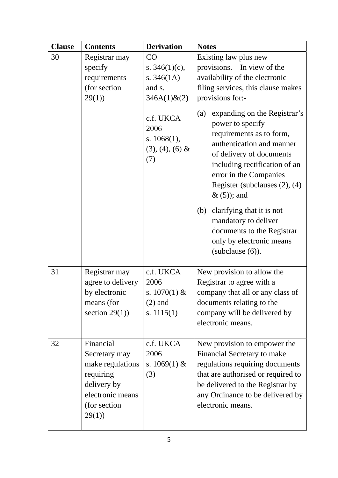| <b>Clause</b> | <b>Contents</b>                                                                                                         | <b>Derivation</b>                                                     | <b>Notes</b>                                                                                                                                                                                                                                                     |
|---------------|-------------------------------------------------------------------------------------------------------------------------|-----------------------------------------------------------------------|------------------------------------------------------------------------------------------------------------------------------------------------------------------------------------------------------------------------------------------------------------------|
| 30            | Registrar may<br>specify<br>requirements<br>(for section<br>29(1)                                                       | CO<br>s. $346(1)(c)$ ,<br>s. $346(1A)$<br>and s.<br>$346A(1)$ & $(2)$ | Existing law plus new<br>provisions. In view of the<br>availability of the electronic<br>filing services, this clause makes<br>provisions for:-                                                                                                                  |
|               |                                                                                                                         | c.f. UKCA<br>2006<br>s. $1068(1)$ ,<br>$(3), (4), (6)$ &<br>(7)       | expanding on the Registrar's<br>(a)<br>power to specify<br>requirements as to form,<br>authentication and manner<br>of delivery of documents<br>including rectification of an<br>error in the Companies<br>Register (subclauses $(2)$ , $(4)$ )<br>$\&(5)$ ; and |
|               |                                                                                                                         |                                                                       | clarifying that it is not<br>(b)<br>mandatory to deliver<br>documents to the Registrar<br>only by electronic means<br>$subclause(6)$ ).                                                                                                                          |
| 31            | Registrar may<br>agree to delivery<br>by electronic<br>means (for<br>section $29(1)$ )                                  | c.f. UKCA<br>2006<br>s. $1070(1)$ &<br>$(2)$ and<br>s. $1115(1)$      | New provision to allow the<br>Registrar to agree with a<br>company that all or any class of<br>documents relating to the<br>company will be delivered by<br>electronic means.                                                                                    |
| 32            | Financial<br>Secretary may<br>make regulations<br>requiring<br>delivery by<br>electronic means<br>(for section<br>29(1) | c.f. UKCA<br>2006<br>s. $1069(1)$ &<br>(3)                            | New provision to empower the<br>Financial Secretary to make<br>regulations requiring documents<br>that are authorised or required to<br>be delivered to the Registrar by<br>any Ordinance to be delivered by<br>electronic means.                                |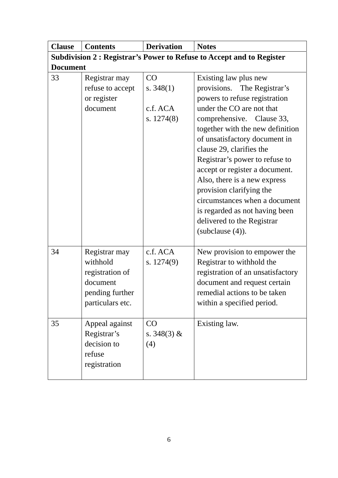| <b>Clause</b>   | <b>Contents</b>                                                                                 | <b>Derivation</b>                             | <b>Notes</b>                                                                                                                                                                                                                                                                                                         |  |  |  |
|-----------------|-------------------------------------------------------------------------------------------------|-----------------------------------------------|----------------------------------------------------------------------------------------------------------------------------------------------------------------------------------------------------------------------------------------------------------------------------------------------------------------------|--|--|--|
|                 | Subdivision 2 : Registrar's Power to Refuse to Accept and to Register                           |                                               |                                                                                                                                                                                                                                                                                                                      |  |  |  |
| <b>Document</b> |                                                                                                 |                                               |                                                                                                                                                                                                                                                                                                                      |  |  |  |
| 33              | Registrar may<br>refuse to accept<br>or register<br>document                                    | CO<br>s. $348(1)$<br>c.f. ACA<br>s. $1274(8)$ | Existing law plus new<br>provisions. The Registrar's<br>powers to refuse registration<br>under the CO are not that<br>comprehensive. Clause 33,<br>together with the new definition<br>of unsatisfactory document in<br>clause 29, clarifies the<br>Registrar's power to refuse to<br>accept or register a document. |  |  |  |
|                 |                                                                                                 |                                               | Also, there is a new express<br>provision clarifying the<br>circumstances when a document<br>is regarded as not having been<br>delivered to the Registrar<br>(subclause $(4)$ ).                                                                                                                                     |  |  |  |
| 34              | Registrar may<br>withhold<br>registration of<br>document<br>pending further<br>particulars etc. | c.f. ACA<br>s. $1274(9)$                      | New provision to empower the<br>Registrar to withhold the<br>registration of an unsatisfactory<br>document and request certain<br>remedial actions to be taken<br>within a specified period.                                                                                                                         |  |  |  |
| 35              | Appeal against<br>Registrar's<br>decision to<br>refuse<br>registration                          | CO<br>s. $348(3)$ &<br>(4)                    | Existing law.                                                                                                                                                                                                                                                                                                        |  |  |  |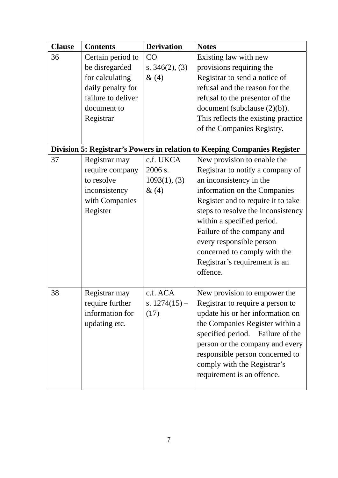| <b>Clause</b> | <b>Contents</b>    | <b>Derivation</b> | <b>Notes</b>                                                             |
|---------------|--------------------|-------------------|--------------------------------------------------------------------------|
| 36            | Certain period to  | CO                | Existing law with new                                                    |
|               | be disregarded     | s. $346(2)$ , (3) | provisions requiring the                                                 |
|               | for calculating    | &(4)              | Registrar to send a notice of                                            |
|               | daily penalty for  |                   | refusal and the reason for the                                           |
|               | failure to deliver |                   | refusal to the presentor of the                                          |
|               | document to        |                   | document (subclause $(2)(b)$ ).                                          |
|               | Registrar          |                   | This reflects the existing practice                                      |
|               |                    |                   | of the Companies Registry.                                               |
|               |                    |                   |                                                                          |
|               |                    |                   | Division 5: Registrar's Powers in relation to Keeping Companies Register |
| 37            | Registrar may      | c.f. UKCA         | New provision to enable the                                              |
|               | require company    | 2006 s.           | Registrar to notify a company of                                         |
|               | to resolve         | 1093(1), (3)      | an inconsistency in the                                                  |
|               | inconsistency      | &(4)              | information on the Companies                                             |
|               | with Companies     |                   | Register and to require it to take                                       |
|               | Register           |                   | steps to resolve the inconsistency                                       |
|               |                    |                   | within a specified period.                                               |
|               |                    |                   | Failure of the company and                                               |
|               |                    |                   | every responsible person                                                 |
|               |                    |                   | concerned to comply with the                                             |
|               |                    |                   | Registrar's requirement is an                                            |
|               |                    |                   | offence.                                                                 |
|               |                    |                   |                                                                          |
| 38            | Registrar may      | c.f. ACA          | New provision to empower the                                             |
|               | require further    | s. $1274(15)$ –   | Registrar to require a person to                                         |
|               | information for    | (17)              | update his or her information on                                         |
|               | updating etc.      |                   | the Companies Register within a                                          |
|               |                    |                   | specified period. Failure of the                                         |
|               |                    |                   | person or the company and every                                          |
|               |                    |                   | responsible person concerned to                                          |
|               |                    |                   | comply with the Registrar's                                              |
|               |                    |                   | requirement is an offence.                                               |
|               |                    |                   |                                                                          |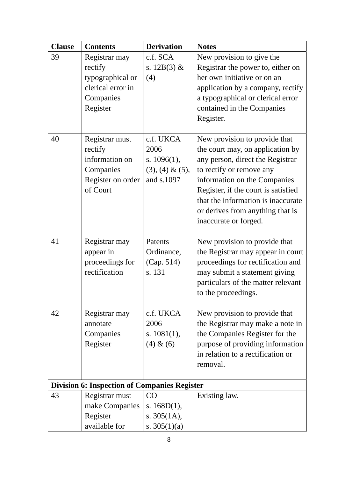| <b>Clause</b> | <b>Contents</b>                                                                            | <b>Derivation</b>                                                       | <b>Notes</b>                                                                                                                                                                                                                                                                                                |
|---------------|--------------------------------------------------------------------------------------------|-------------------------------------------------------------------------|-------------------------------------------------------------------------------------------------------------------------------------------------------------------------------------------------------------------------------------------------------------------------------------------------------------|
| 39            | Registrar may<br>rectify<br>typographical or<br>clerical error in<br>Companies<br>Register | c.f. SCA<br>s. $12B(3)$ &<br>(4)                                        | New provision to give the<br>Registrar the power to, either on<br>her own initiative or on an<br>application by a company, rectify<br>a typographical or clerical error<br>contained in the Companies<br>Register.                                                                                          |
| 40            | Registrar must<br>rectify<br>information on<br>Companies<br>Register on order<br>of Court  | c.f. UKCA<br>2006<br>s. $1096(1)$ ,<br>$(3), (4) \& (5),$<br>and s.1097 | New provision to provide that<br>the court may, on application by<br>any person, direct the Registrar<br>to rectify or remove any<br>information on the Companies<br>Register, if the court is satisfied<br>that the information is inaccurate<br>or derives from anything that is<br>inaccurate or forged. |
| 41            | Registrar may<br>appear in<br>proceedings for<br>rectification                             | Patents<br>Ordinance,<br>(Cap. 514)<br>s. 131                           | New provision to provide that<br>the Registrar may appear in court<br>proceedings for rectification and<br>may submit a statement giving<br>particulars of the matter relevant<br>to the proceedings.                                                                                                       |
| 42            | Registrar may<br>annotate<br>Companies<br>Register                                         | c.f. UKCA<br>2006<br>s. $1081(1)$ ,<br>(4) & (6)                        | New provision to provide that<br>the Registrar may make a note in<br>the Companies Register for the<br>purpose of providing information<br>in relation to a rectification or<br>removal.                                                                                                                    |
|               | <b>Division 6: Inspection of Companies Register</b>                                        |                                                                         |                                                                                                                                                                                                                                                                                                             |
| 43            | Registrar must<br>make Companies<br>Register<br>available for                              | CO<br>s. $168D(1)$ ,<br>s. $305(1A)$ ,<br>s. $305(1)(a)$                | Existing law.                                                                                                                                                                                                                                                                                               |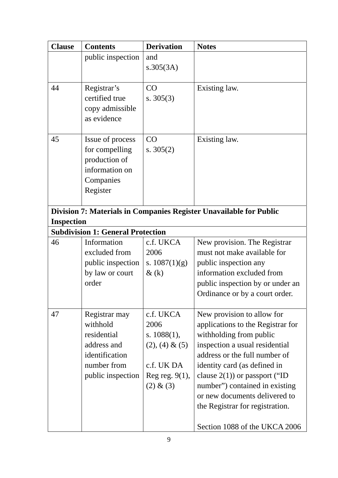| <b>Clause</b>     | <b>Contents</b>                          | <b>Derivation</b> | <b>Notes</b>                                                       |
|-------------------|------------------------------------------|-------------------|--------------------------------------------------------------------|
|                   | public inspection                        | and               |                                                                    |
|                   |                                          | s.305(3A)         |                                                                    |
| 44                | Registrar's                              | CO                | Existing law.                                                      |
|                   | certified true                           | s. $305(3)$       |                                                                    |
|                   | copy admissible                          |                   |                                                                    |
|                   | as evidence                              |                   |                                                                    |
| 45                | Issue of process                         | CO                | Existing law.                                                      |
|                   | for compelling                           | s. $305(2)$       |                                                                    |
|                   | production of                            |                   |                                                                    |
|                   | information on                           |                   |                                                                    |
|                   | Companies                                |                   |                                                                    |
|                   | Register                                 |                   |                                                                    |
|                   |                                          |                   | Division 7: Materials in Companies Register Unavailable for Public |
| <b>Inspection</b> |                                          |                   |                                                                    |
|                   | <b>Subdivision 1: General Protection</b> |                   |                                                                    |
| 46                | Information                              | c.f. UKCA         | New provision. The Registrar                                       |
|                   | excluded from                            | 2006              | must not make available for                                        |
|                   | public inspection                        | s. $1087(1)(g)$   | public inspection any                                              |
|                   | by law or court                          | $\&$ (k)          | information excluded from                                          |
|                   | order                                    |                   | public inspection by or under an                                   |
|                   |                                          |                   | Ordinance or by a court order.                                     |
| 47                | Registrar may                            | c.f. UKCA         | New provision to allow for                                         |
|                   | withhold                                 | 2006              | applications to the Registrar for                                  |
|                   | residential                              | s. $1088(1)$ ,    | withholding from public                                            |
|                   | address and                              | $(2), (4) \& (5)$ | inspection a usual residential                                     |
|                   | identification                           |                   | address or the full number of                                      |
|                   | number from                              | c.f. UK DA        | identity card (as defined in                                       |
|                   | public inspection                        | Reg reg. $9(1)$ , | clause $2(1)$ ) or passport ("ID                                   |
|                   |                                          | (2) & (3)         | number") contained in existing                                     |
|                   |                                          |                   | or new documents delivered to<br>the Registrar for registration.   |
|                   |                                          |                   |                                                                    |
|                   |                                          |                   | Section 1088 of the UKCA 2006                                      |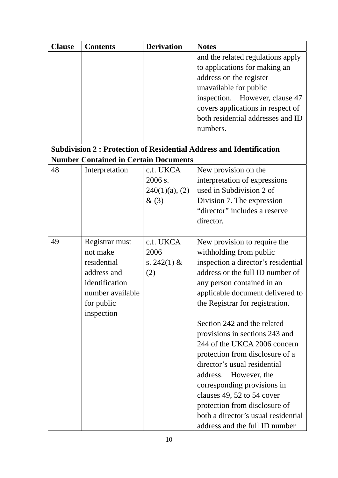| <b>Clause</b> | <b>Contents</b>                              | <b>Derivation</b> | <b>Notes</b>                                                               |
|---------------|----------------------------------------------|-------------------|----------------------------------------------------------------------------|
|               |                                              |                   | and the related regulations apply                                          |
|               |                                              |                   | to applications for making an                                              |
|               |                                              |                   | address on the register                                                    |
|               |                                              |                   | unavailable for public                                                     |
|               |                                              |                   | inspection. However, clause 47                                             |
|               |                                              |                   | covers applications in respect of                                          |
|               |                                              |                   | both residential addresses and ID                                          |
|               |                                              |                   | numbers.                                                                   |
|               |                                              |                   | <b>Subdivision 2: Protection of Residential Address and Identification</b> |
|               | <b>Number Contained in Certain Documents</b> |                   |                                                                            |
| 48            | Interpretation                               | c.f. UKCA         | New provision on the                                                       |
|               |                                              | 2006 s.           | interpretation of expressions                                              |
|               |                                              | $240(1)(a)$ , (2) | used in Subdivision 2 of                                                   |
|               |                                              | $\&(3)$           | Division 7. The expression                                                 |
|               |                                              |                   | "director" includes a reserve                                              |
|               |                                              |                   | director.                                                                  |
|               |                                              |                   |                                                                            |
| 49            | Registrar must                               | c.f. UKCA         | New provision to require the                                               |
|               | not make                                     | 2006              | withholding from public                                                    |
|               | residential                                  | s. $242(1)$ &     | inspection a director's residential                                        |
|               | address and                                  | (2)               | address or the full ID number of                                           |
|               | identification                               |                   | any person contained in an                                                 |
|               | number available                             |                   | applicable document delivered to                                           |
|               | for public                                   |                   | the Registrar for registration.                                            |
|               | inspection                                   |                   | Section 242 and the related                                                |
|               |                                              |                   | provisions in sections 243 and                                             |
|               |                                              |                   | 244 of the UKCA 2006 concern                                               |
|               |                                              |                   | protection from disclosure of a                                            |
|               |                                              |                   | director's usual residential                                               |
|               |                                              |                   | address.<br>However, the                                                   |
|               |                                              |                   | corresponding provisions in                                                |
|               |                                              |                   | clauses 49, 52 to 54 cover                                                 |
|               |                                              |                   | protection from disclosure of                                              |
|               |                                              |                   | both a director's usual residential                                        |
|               |                                              |                   | address and the full ID number                                             |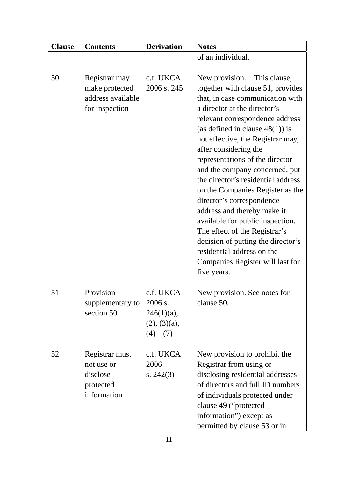| <b>Clause</b> | <b>Contents</b>                                                        | <b>Derivation</b>                                                  | <b>Notes</b>                                                                                                                                                                                                                                                                                                                                                                                                                                                                                                                                                                                                                                                                          |
|---------------|------------------------------------------------------------------------|--------------------------------------------------------------------|---------------------------------------------------------------------------------------------------------------------------------------------------------------------------------------------------------------------------------------------------------------------------------------------------------------------------------------------------------------------------------------------------------------------------------------------------------------------------------------------------------------------------------------------------------------------------------------------------------------------------------------------------------------------------------------|
|               |                                                                        |                                                                    | of an individual.                                                                                                                                                                                                                                                                                                                                                                                                                                                                                                                                                                                                                                                                     |
| 50            | Registrar may<br>make protected<br>address available<br>for inspection | c.f. UKCA<br>2006 s. 245                                           | New provision.<br>This clause,<br>together with clause 51, provides<br>that, in case communication with<br>a director at the director's<br>relevant correspondence address<br>(as defined in clause $48(1)$ ) is<br>not effective, the Registrar may,<br>after considering the<br>representations of the director<br>and the company concerned, put<br>the director's residential address<br>on the Companies Register as the<br>director's correspondence<br>address and thereby make it<br>available for public inspection.<br>The effect of the Registrar's<br>decision of putting the director's<br>residential address on the<br>Companies Register will last for<br>five years. |
| 51            | Provision<br>supplementary to<br>section 50                            | c.f. UKCA<br>2006 s.<br>$246(1)(a)$ ,<br>(2), (3)(a),<br>$(4)-(7)$ | New provision. See notes for<br>clause 50.                                                                                                                                                                                                                                                                                                                                                                                                                                                                                                                                                                                                                                            |
| 52            | Registrar must<br>not use or<br>disclose<br>protected<br>information   | c.f. UKCA<br>2006<br>s. $242(3)$                                   | New provision to prohibit the<br>Registrar from using or<br>disclosing residential addresses<br>of directors and full ID numbers<br>of individuals protected under<br>clause 49 ("protected<br>information") except as<br>permitted by clause 53 or in                                                                                                                                                                                                                                                                                                                                                                                                                                |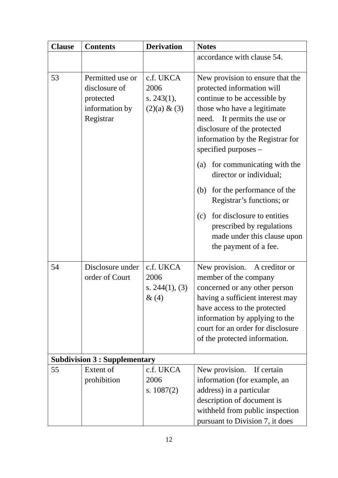| <b>Clause</b> | <b>Contents</b>                                                               | <b>Derivation</b>                                     | <b>Notes</b>                                                                                                                                                                                                                                                                                                                                                                                                                                                                                                             |
|---------------|-------------------------------------------------------------------------------|-------------------------------------------------------|--------------------------------------------------------------------------------------------------------------------------------------------------------------------------------------------------------------------------------------------------------------------------------------------------------------------------------------------------------------------------------------------------------------------------------------------------------------------------------------------------------------------------|
|               |                                                                               |                                                       | accordance with clause 54.                                                                                                                                                                                                                                                                                                                                                                                                                                                                                               |
| 53            | Permitted use or<br>disclosure of<br>protected<br>information by<br>Registrar | c.f. UKCA<br>2006<br>s. $243(1)$ ,<br>$(2)(a) \& (3)$ | New provision to ensure that the<br>protected information will<br>continue to be accessible by<br>those who have a legitimate<br>It permits the use or<br>need.<br>disclosure of the protected<br>information by the Registrar for<br>specified purposes $-$<br>for communicating with the<br>(a)<br>director or individual;<br>for the performance of the<br>(b)<br>Registrar's functions; or<br>for disclosure to entities<br>(c)<br>prescribed by regulations<br>made under this clause upon<br>the payment of a fee. |
| 54            | Disclosure under<br>order of Court                                            | c.f. UKCA<br>2006<br>s. $244(1)$ , (3)<br>$\&(4)$     | New provision.<br>A creditor or<br>member of the company<br>concerned or any other person<br>having a sufficient interest may<br>have access to the protected<br>information by applying to the<br>court for an order for disclosure<br>of the protected information.                                                                                                                                                                                                                                                    |
|               | <b>Subdivision 3 : Supplementary</b>                                          |                                                       |                                                                                                                                                                                                                                                                                                                                                                                                                                                                                                                          |
| 55            | Extent of<br>prohibition                                                      | c.f. UKCA<br>2006<br>s. $1087(2)$                     | New provision. If certain<br>information (for example, an<br>address) in a particular<br>description of document is<br>withheld from public inspection<br>pursuant to Division 7, it does                                                                                                                                                                                                                                                                                                                                |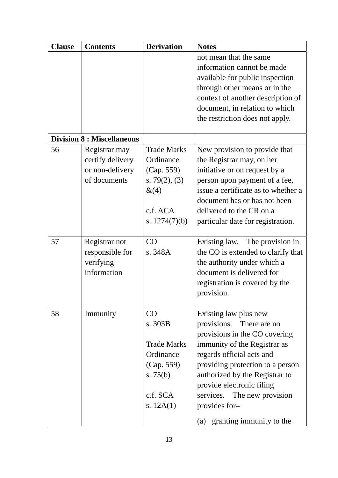| <b>Clause</b>                     | <b>Contents</b>  | <b>Derivation</b>   | <b>Notes</b>                        |  |  |  |
|-----------------------------------|------------------|---------------------|-------------------------------------|--|--|--|
|                                   |                  |                     | not mean that the same              |  |  |  |
|                                   |                  |                     | information cannot be made          |  |  |  |
|                                   |                  |                     | available for public inspection     |  |  |  |
|                                   |                  |                     | through other means or in the       |  |  |  |
|                                   |                  |                     | context of another description of   |  |  |  |
|                                   |                  |                     | document, in relation to which      |  |  |  |
|                                   |                  |                     | the restriction does not apply.     |  |  |  |
| <b>Division 8 : Miscellaneous</b> |                  |                     |                                     |  |  |  |
| 56                                | Registrar may    | <b>Trade Marks</b>  | New provision to provide that       |  |  |  |
|                                   | certify delivery | Ordinance           | the Registrar may, on her           |  |  |  |
|                                   | or non-delivery  | (Cap. 559)          | initiative or on request by a       |  |  |  |
|                                   | of documents     | s. 79 $(2)$ , $(3)$ | person upon payment of a fee,       |  |  |  |
|                                   |                  | &(4)                | issue a certificate as to whether a |  |  |  |
|                                   |                  |                     | document has or has not been        |  |  |  |
|                                   |                  | c.f. ACA            | delivered to the CR on a            |  |  |  |
|                                   |                  | s. $1274(7)(b)$     | particular date for registration.   |  |  |  |
|                                   |                  |                     |                                     |  |  |  |
| 57                                | Registrar not    | CO                  | The provision in<br>Existing law.   |  |  |  |
|                                   | responsible for  | s. 348A             | the CO is extended to clarify that  |  |  |  |
|                                   | verifying        |                     | the authority under which a         |  |  |  |
|                                   | information      |                     | document is delivered for           |  |  |  |
|                                   |                  |                     | registration is covered by the      |  |  |  |
|                                   |                  |                     | provision.                          |  |  |  |
|                                   |                  |                     |                                     |  |  |  |
| 58                                | Immunity         | CO                  | Existing law plus new               |  |  |  |
|                                   |                  | s. 303B             | provisions. There are no            |  |  |  |
|                                   |                  |                     | provisions in the CO covering       |  |  |  |
|                                   |                  | <b>Trade Marks</b>  | immunity of the Registrar as        |  |  |  |
|                                   |                  | Ordinance           | regards official acts and           |  |  |  |
|                                   |                  | (Cap. 559)          | providing protection to a person    |  |  |  |
|                                   |                  | s. $75(b)$          | authorized by the Registrar to      |  |  |  |
|                                   |                  |                     | provide electronic filing           |  |  |  |
|                                   |                  | c.f. SCA            | services. The new provision         |  |  |  |
|                                   |                  | s. $12A(1)$         | provides for-                       |  |  |  |
|                                   |                  |                     | granting immunity to the<br>(a)     |  |  |  |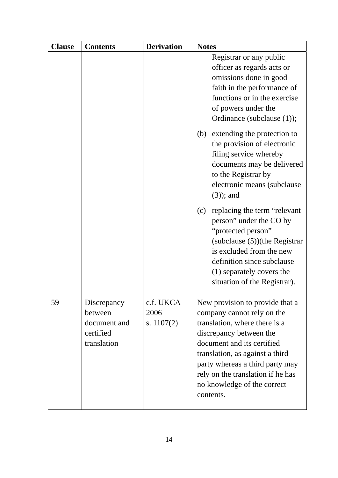| <b>Clause</b> | <b>Contents</b>                                                    | <b>Derivation</b>                 | <b>Notes</b>                                                                                                                                                                                                                                                                                                                                                                        |
|---------------|--------------------------------------------------------------------|-----------------------------------|-------------------------------------------------------------------------------------------------------------------------------------------------------------------------------------------------------------------------------------------------------------------------------------------------------------------------------------------------------------------------------------|
|               |                                                                    |                                   | Registrar or any public<br>officer as regards acts or<br>omissions done in good<br>faith in the performance of<br>functions or in the exercise<br>of powers under the<br>Ordinance (subclause (1));                                                                                                                                                                                 |
|               |                                                                    |                                   | extending the protection to<br>(b)<br>the provision of electronic<br>filing service whereby<br>documents may be delivered<br>to the Registrar by<br>electronic means (subclause)<br>$(3)$ ; and<br>replacing the term "relevant"<br>(c)<br>person" under the CO by<br>"protected person"<br>(subclause (5))(the Registrar<br>is excluded from the new<br>definition since subclause |
|               |                                                                    |                                   | (1) separately covers the<br>situation of the Registrar).                                                                                                                                                                                                                                                                                                                           |
| 59            | Discrepancy<br>between<br>document and<br>certified<br>translation | c.f. UKCA<br>2006<br>s. $1107(2)$ | New provision to provide that a<br>company cannot rely on the<br>translation, where there is a<br>discrepancy between the<br>document and its certified<br>translation, as against a third<br>party whereas a third party may<br>rely on the translation if he has<br>no knowledge of the correct<br>contents.                                                                      |